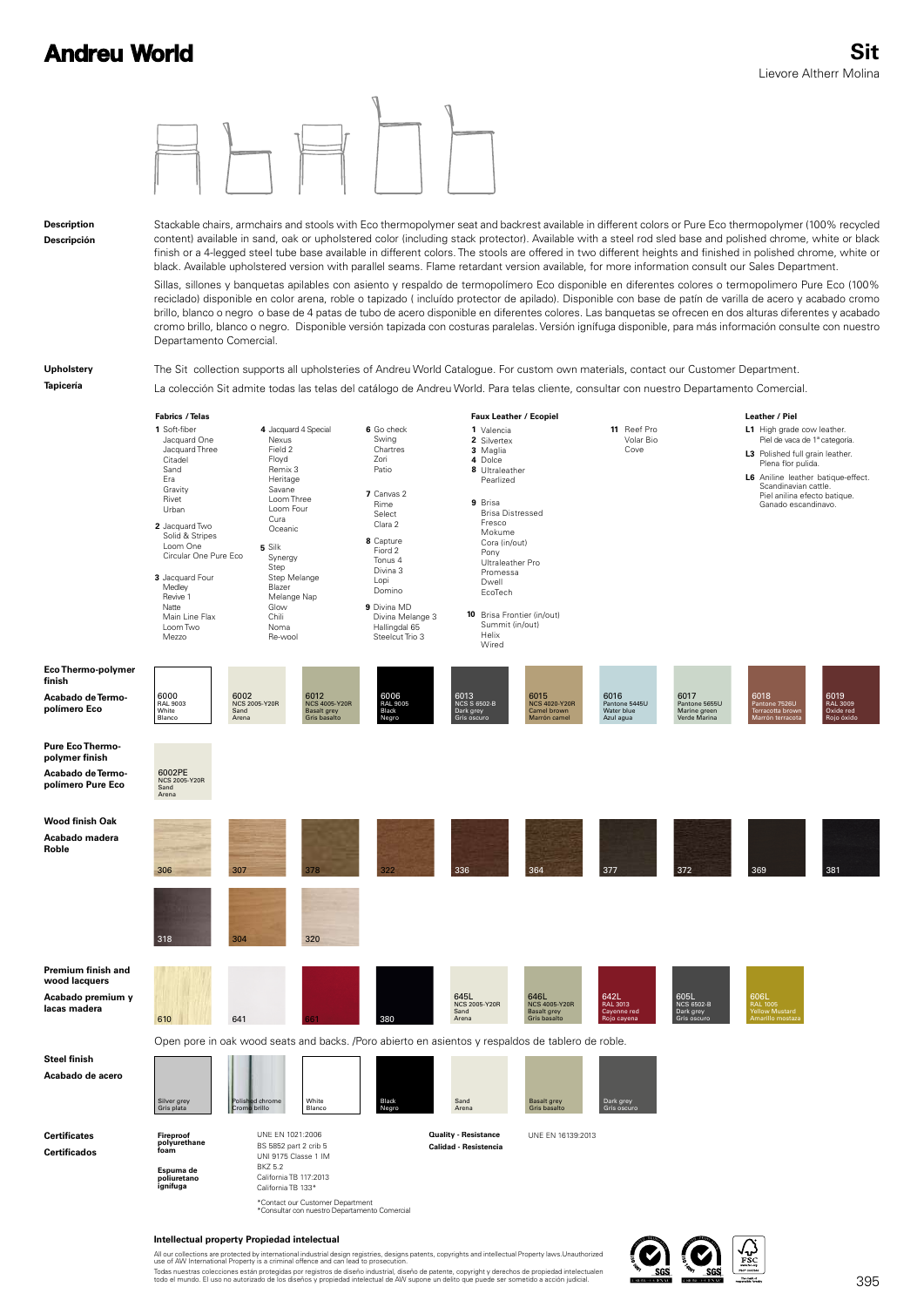

#### **Intellectual property Propiedad intelectual**

All our collections are protected by international industrial design registries, designs patents, copyrights and intellectual Property laws.Unauthorized<br>use of AW International Property is a criminal offence and can lead t Todas nuestras colecciones están protegidas por registros de diseño industrial, diseño de patente, copyright y derechos de propiedad intelectualen<br>todo el mundo. El uso no autorizado de los diseños y propiedad intelectual

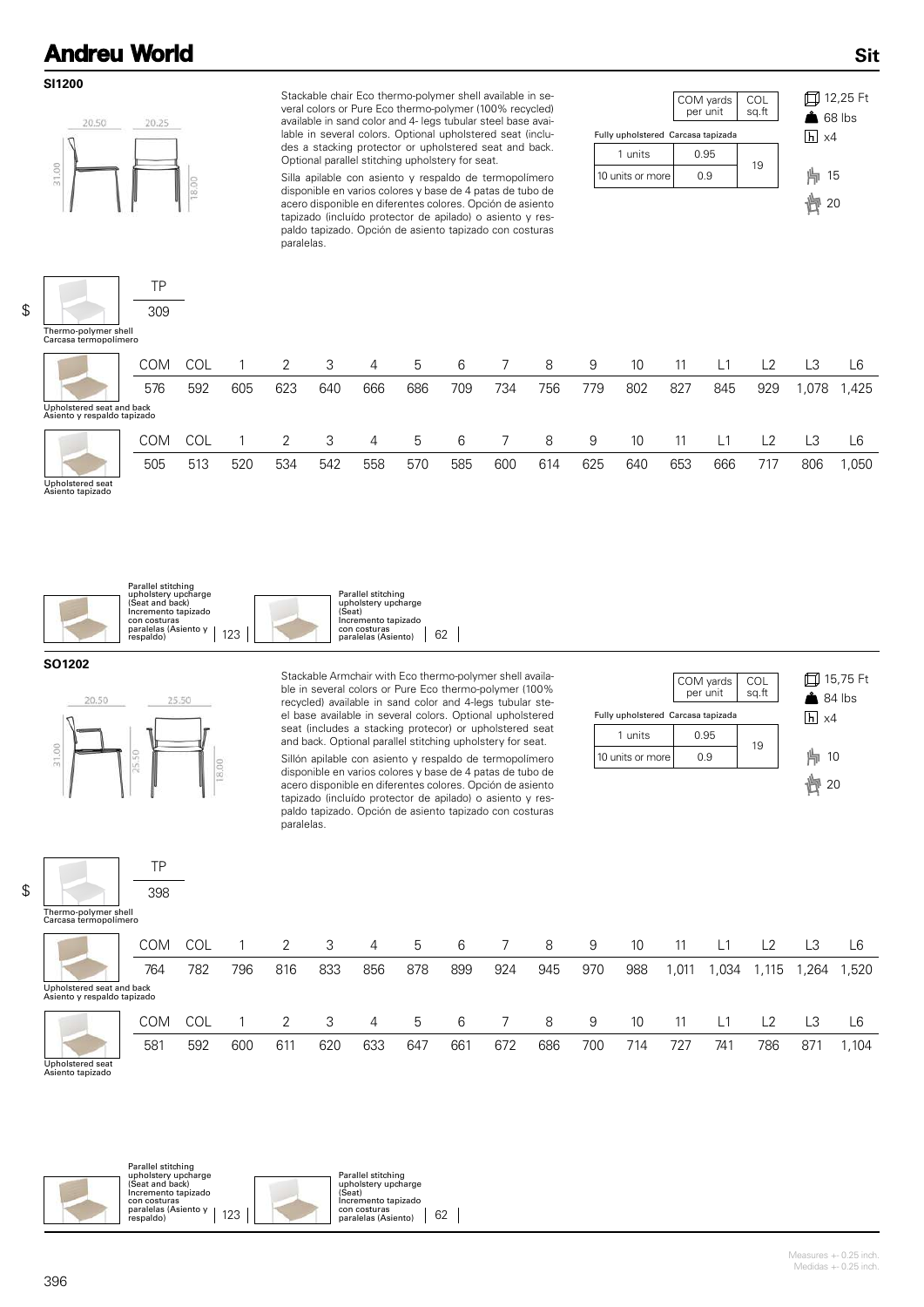#### **SI1200**



Stackable chair Eco thermo-polymer shell available in several colors or Pure Eco thermo-polymer (100% recycled) available in sand color and 4- legs tubular steel base available in several colors. Optional upholstered seat (includes a stacking protector or upholstered seat and back. Optional parallel stitching upholstery for seat.

Silla apilable con asiento y respaldo de termopolímero disponible en varios colores y base de 4 patas de tubo de acero disponible en diferentes colores. Opción de asiento tapizado (incluído protector de apilado) o asiento y respaldo tapizado. Opción de asiento tapizado con costuras paralelas.



12,25 Ft  $68$  lbs

**Sit**

\$

| Carcasa termopolímero                                    |            |     |     |     |     |                |     |     |     |     |     |     |     |     |     |      |       |
|----------------------------------------------------------|------------|-----|-----|-----|-----|----------------|-----|-----|-----|-----|-----|-----|-----|-----|-----|------|-------|
|                                                          | <b>COM</b> | COL |     |     | 3   | 4              | 5   | 6   |     | 8   | 9   | 10  | 11  | L1  | L2  | LЗ   | L6    |
|                                                          | 576        | 592 | 605 | 623 | 640 | 666            | 686 | 709 | 734 | 756 | 779 | 802 | 827 | 845 | 929 | ,078 | 1,425 |
| Upholstered seat and back<br>Asiento y respaldo tapizado |            |     |     |     |     |                |     |     |     |     |     |     |     |     |     |      |       |
|                                                          | <b>COM</b> | COL |     |     | 3   | $\overline{4}$ | 5   | 6   |     | 8   | 9   | 10  | 11  | L1  | L2  | LЗ   | L6    |
|                                                          | 505        | 513 | 520 | 534 | 542 | 558            | 570 | 585 | 600 | 614 | 625 | 640 | 653 | 666 | 717 | 806  | ,050  |
| Upholstered seat<br>Asiento tapizado                     |            |     |     |     |     |                |     |     |     |     |     |     |     |     |     |      |       |





#### **SO1202**



TP 398 Stackable Armchair with Eco thermo-polymer shell available in several colors or Pure Eco thermo-polymer (100% recycled) available in sand color and 4-legs tubular steel base available in several colors. Optional upholstered seat (includes a stacking protecor) or upholstered seat and back. Optional parallel stitching upholstery for seat.

Sillón apilable con asiento y respaldo de termopolímero disponible en varios colores y base de 4 patas de tubo de acero disponible en diferentes colores. Opción de asiento tapizado (incluído protector de apilado) o asiento y respaldo tapizado. Opción de asiento tapizado con costuras paralelas.





\$

|                                                          | <b>COM</b> |     |     |     | 3   | 4   | 5   | 6   |     | 8   | 9   | 10  | 11   | L1   | L2             | LЗ   | L6    |
|----------------------------------------------------------|------------|-----|-----|-----|-----|-----|-----|-----|-----|-----|-----|-----|------|------|----------------|------|-------|
|                                                          | 764        | 782 | 796 | 816 | 833 | 856 | 878 | 899 | 924 | 945 | 970 | 988 | ,011 | ,034 | . 115. .       | .264 | 1,520 |
| Upholstered seat and back<br>Asiento y respaldo tapizado |            |     |     |     |     |     |     |     |     |     |     |     |      |      |                |      |       |
|                                                          | COM        |     |     |     | 3   | 4   | 5   | 6   |     | 8   | 9   | 10  | 11   | L1   | L <sub>2</sub> | LЗ   | L6    |
|                                                          | 581        | 592 | 600 | 611 | 620 | 633 | 647 | 661 | 672 | 686 | 700 | 714 | 727  | 741  | 786            | 871  | 1,104 |

Upholstered seat Asiento tapizado



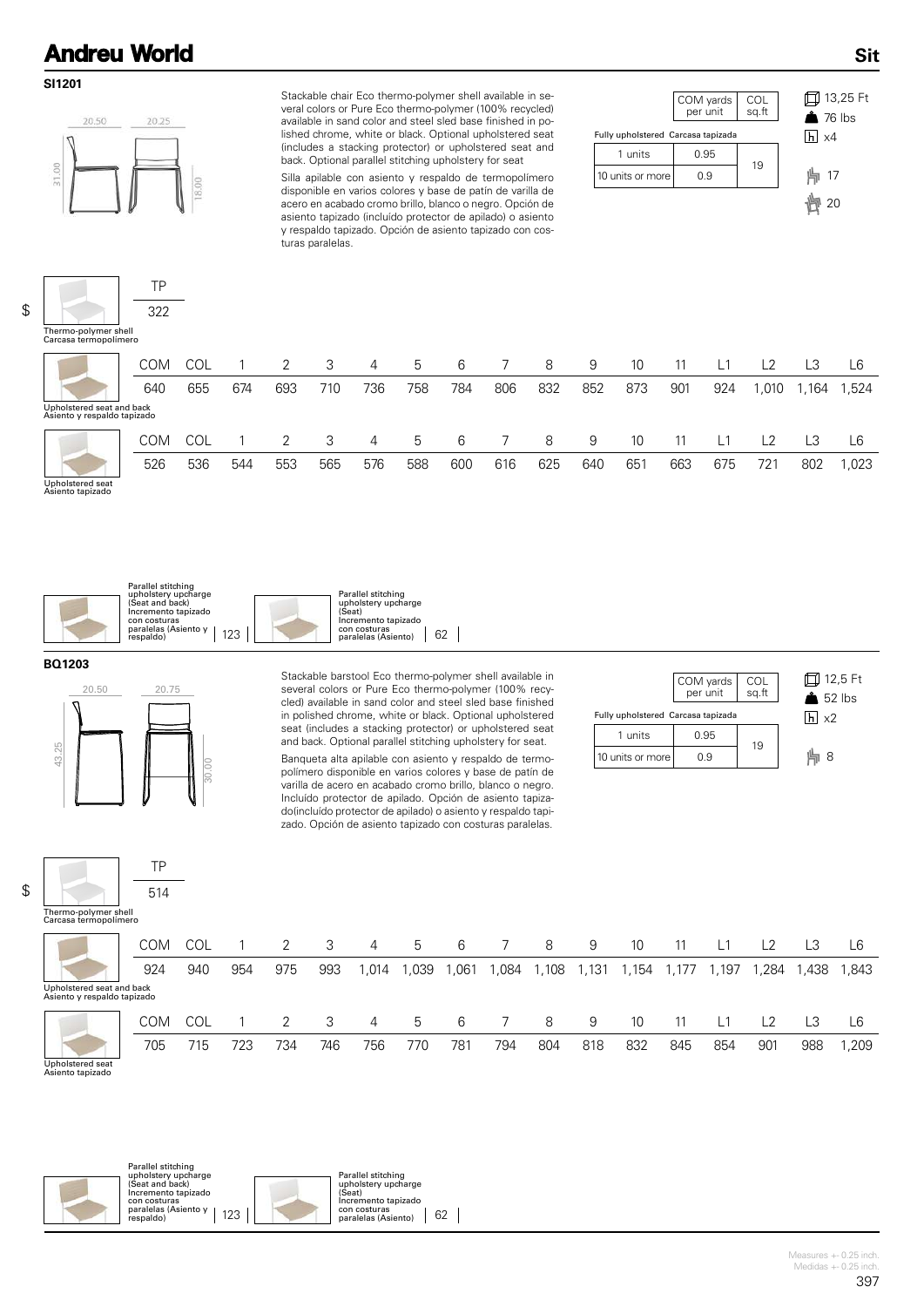#### **SI1201**



TP 322 Stackable chair Eco thermo-polymer shell available in several colors or Pure Eco thermo-polymer (100% recycled) available in sand color and steel sled base finished in polished chrome, white or black. Optional upholstered seat (includes a stacking protector) or upholstered seat and back. Optional parallel stitching upholstery for seat

Silla apilable con asiento y respaldo de termopolímero disponible en varios colores y base de patín de varilla de acero en acabado cromo brillo, blanco o negro. Opción de asiento tapizado (incluído protector de apilado) o asiento y respaldo tapizado. Opción de asiento tapizado con costuras paralelas.





**Sit**

\$

| Thermo-polymer shell |  |
|----------------------|--|

| Carcasa termopolímero                                    |            |            |     |     |     |     |     |     |     |     |     |     |     |                |      |        |       |
|----------------------------------------------------------|------------|------------|-----|-----|-----|-----|-----|-----|-----|-----|-----|-----|-----|----------------|------|--------|-------|
|                                                          | <b>COM</b> | COL        |     |     | 3   | 4   | 5   | 6   |     | 8   | 9   | 10  | 11  | L <sub>1</sub> | L2   | LЗ     | L6    |
|                                                          | 640        | 655        | 674 | 693 | 710 | 736 | 758 | 784 | 806 | 832 | 852 | 873 | 901 | 924            | ,010 | 164. ا | ,524  |
| Upholstered seat and back<br>Asiento y respaldo tapizado |            |            |     |     |     |     |     |     |     |     |     |     |     |                |      |        |       |
|                                                          | <b>COM</b> | <b>COL</b> |     |     | 3   | 4   | 5   | 6   |     | 8   | 9   | 10  | 11  | L1             | L2   |        | L6    |
|                                                          | 526        | 536        | 544 | 553 | 565 | 576 | 588 | 600 | 616 | 625 | 640 | 651 | 663 | 675            | 721  | 802    | 1,023 |
| Upholstered seat<br>Asiento tapizado                     |            |            |     |     |     |     |     |     |     |     |     |     |     |                |      |        |       |



#### **BQ1203**



TP 514 Stackable barstool Eco thermo-polymer shell available in several colors or Pure Eco thermo-polymer (100% recycled) available in sand color and steel sled base finished in polished chrome, white or black. Optional upholstered seat (includes a stacking protector) or upholstered seat and back. Optional parallel stitching upholstery for seat.

Banqueta alta apilable con asiento y respaldo de termopolímero disponible en varios colores y base de patín de varilla de acero en acabado cromo brillo, blanco o negro. Incluído protector de apilado. Opción de asiento tapizado(incluído protector de apilado) o asiento y respaldo tapizado. Opción de asiento tapizado con costuras paralelas.



| Thermo-polymer shell  |  |
|-----------------------|--|
| Carcasa termopolímero |  |

\$

|                                                          | <b>COM</b> |     |     |     |     | 4              | b    | 6     |       | 8     | 9     | 10    |       | L1    | L <sub>2</sub> |       | L6    |
|----------------------------------------------------------|------------|-----|-----|-----|-----|----------------|------|-------|-------|-------|-------|-------|-------|-------|----------------|-------|-------|
|                                                          | 924        | 940 | 954 | 975 | 993 | ,014           | ,039 | .061, | ، 084 | 1,108 | 1,131 | 1,154 | 1,177 | 1,197 | ,284           | 1,438 | 1,843 |
| Upholstered seat and back<br>Asiento y respaldo tapizado |            |     |     |     |     |                |      |       |       |       |       |       |       |       |                |       |       |
|                                                          | <b>COM</b> |     |     |     | 3   | $\overline{4}$ | 5    | 6     |       | 8     | 9     | 10    | 11    | L1    | L2             |       | L6    |
|                                                          | 705        | 715 | 723 | 734 | 746 | 756            | 770  | 781   | 794   | 804   | 818   | 832   | 845   | 854   | 901            | 988   | ,209  |

Upholstered seat Asiento tapizado





Parallel stitching upholstery upcharge (Seat) Incremento tapizado con costuras paralelas (Asiento) 62

> Measures +- 0.25 inch. Medidas  $+-0.25$  inch.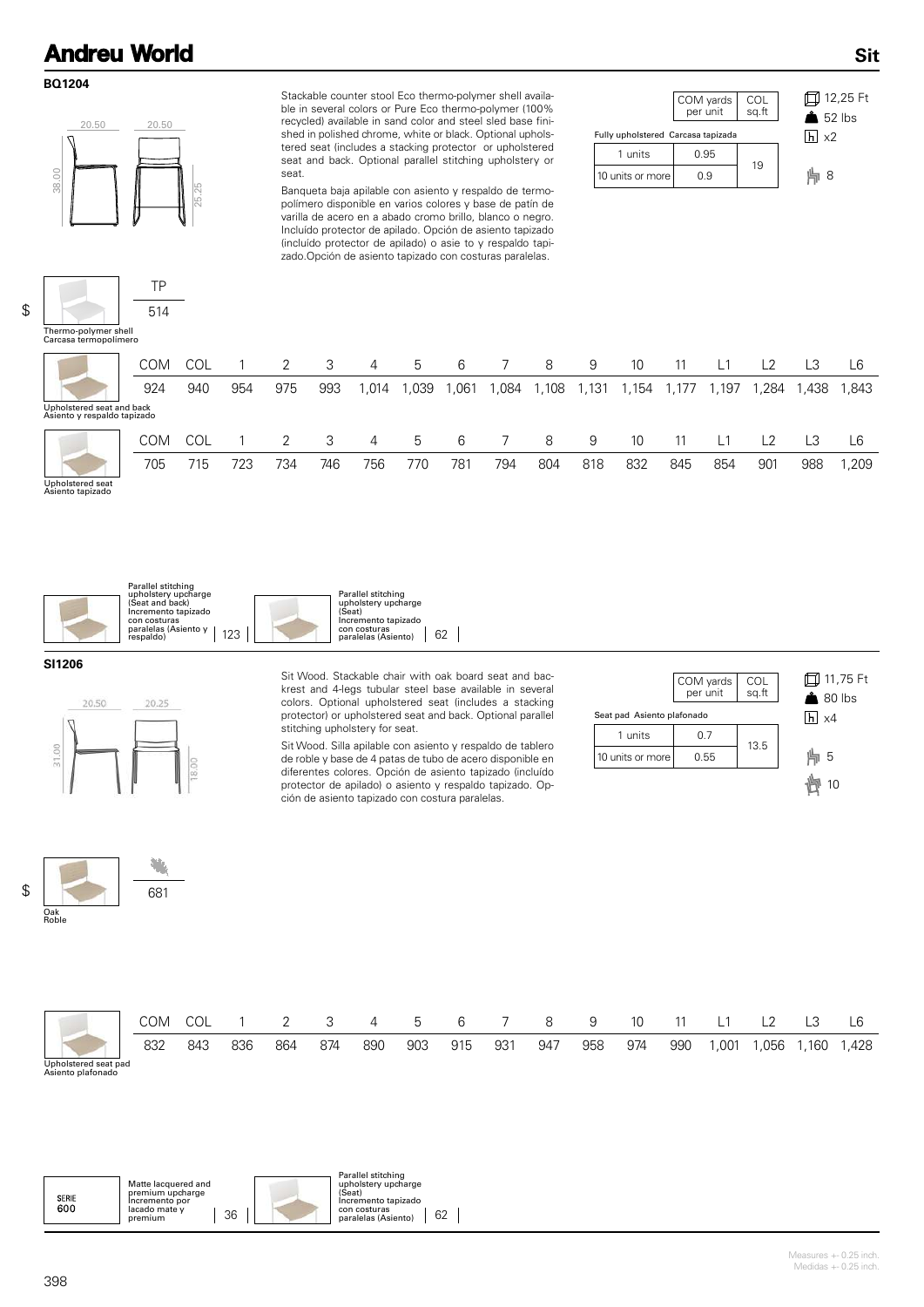#### **BQ1204**

\$



TP 514 Stackable counter stool Eco thermo-polymer shell available in several colors or Pure Eco thermo-polymer (100% recycled) available in sand color and steel sled base finished in polished chrome, white or black. Optional upholstered seat (includes a stacking protector or upholstered seat and back. Optional parallel stitching upholstery or seat.

Banqueta baja apilable con asiento y respaldo de termopolímero disponible en varios colores y base de patín de varilla de acero en a abado cromo brillo, blanco o negro. Incluído protector de apilado. Opción de asiento tapizado (incluído protector de apilado) o asie to y respaldo tapizado.Opción de asiento tapizado con costuras paralelas.





**Sit**

COM COL 1 2 3 4 5 6 7 8 9 10 11 L1 L2 L3 L6 924 940 954 975 993 1,014 1,039 1,061 1,084 1,108 1,131 1,154 1,177 1,197 1,284 1,438 1,843 Upholstered seat and back Asiento y respaldo tapizado Thermo-polymer shell Carcasa termopolímero COM COL 1 2 3 4 5 6 7 8 9 10 11 L1 L2 L3 L6 705 715 723 734 746 756 770 781 794 804 818 832 845 854 901 988 1,209

Upholstered seat Asiento tapizado





**SI1206**



681

÷

Sit Wood. Stackable chair with oak board seat and backrest and 4-legs tubular steel base available in several colors. Optional upholstered seat (includes a stacking protector) or upholstered seat and back. Optional parallel stitching upholstery for seat.

Sit Wood. Silla apilable con asiento y respaldo de tablero de roble y base de 4 patas de tubo de acero disponible en diferentes colores. Opción de asiento tapizado (incluído protector de apilado) o asiento y respaldo tapizado. Opción de asiento tapizado con costura paralelas.



\$ Oak Roble

|                                           | COM | COL |     | $\overline{2}$ | 3   | 4   | 5   | 6   |     | 8   | -9  | 10  |     |      | $\sqrt{2}$ |        | L6   |
|-------------------------------------------|-----|-----|-----|----------------|-----|-----|-----|-----|-----|-----|-----|-----|-----|------|------------|--------|------|
|                                           | 832 | 843 | 836 | 864            | 874 | 890 | 903 | 915 | 931 | 947 | 958 | 974 | 990 | ,001 | ,056       | . 160، | 428, |
| Upholstered seat pad<br>Asiento plafonado |     |     |     |                |     |     |     |     |     |     |     |     |     |      |            |        |      |

| Matte lacquered and<br>premium upcharge<br><b>SERIE</b><br>Incremento por<br>600<br>lacado mate v<br>36<br>premium | Parallel stitching<br>upholstery upcharge<br>(Seat)<br>Incremento tapizado<br>con costuras<br>62<br>paralelas (Asiento) |
|--------------------------------------------------------------------------------------------------------------------|-------------------------------------------------------------------------------------------------------------------------|
|--------------------------------------------------------------------------------------------------------------------|-------------------------------------------------------------------------------------------------------------------------|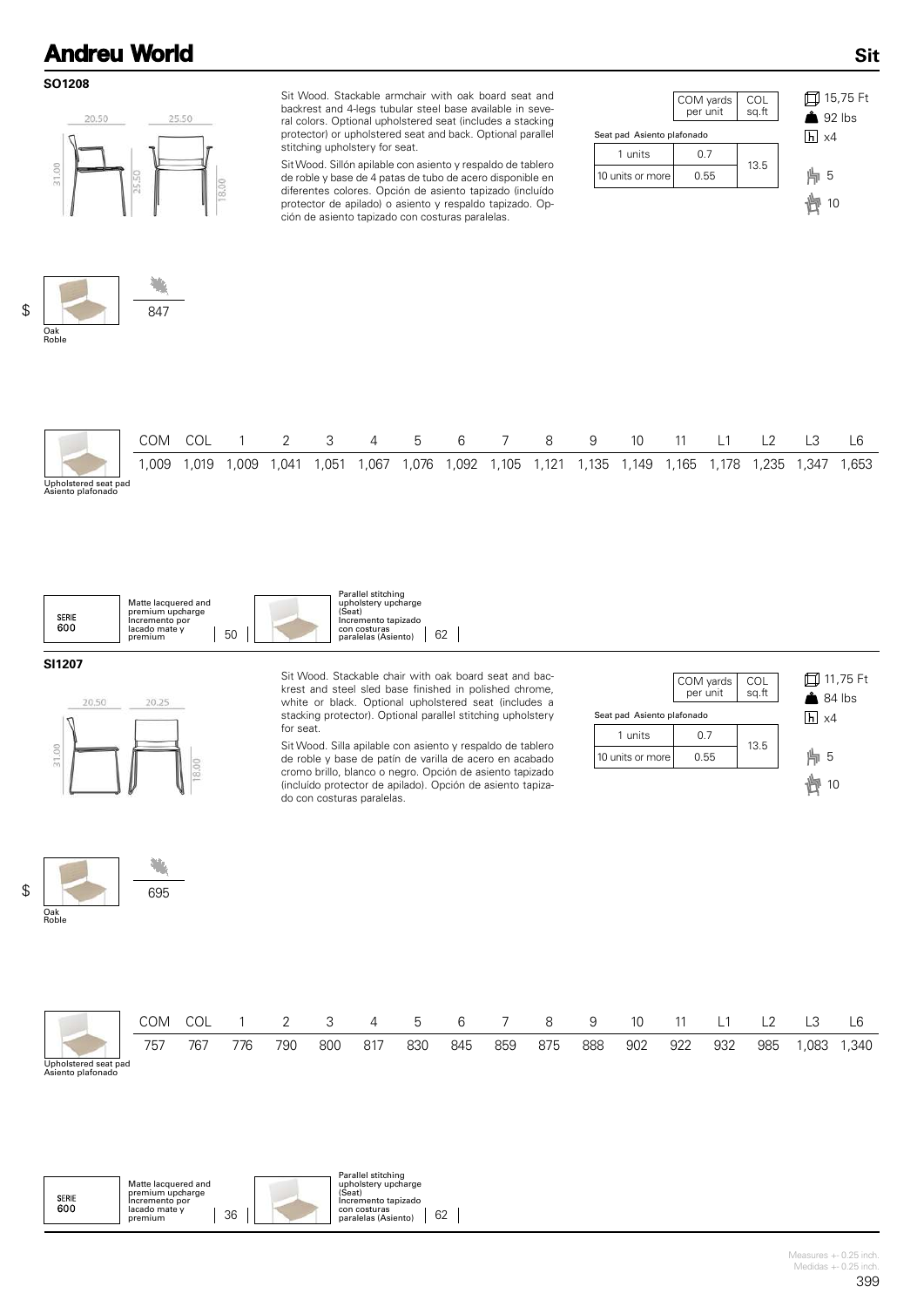#### **SO1208**



Sit Wood. Stackable armchair with oak board seat and backrest and 4-legs tubular steel base available in several colors. Optional upholstered seat (includes a stacking protector) or upholstered seat and back. Optional parallel stitching upholstery for seat.

Sit Wood. Sillón apilable con asiento y respaldo de tablero de roble y base de 4 patas de tubo de acero disponible en diferentes colores. Opción de asiento tapizado (incluído protector de apilado) o asiento y respaldo tapizado. Opción de asiento tapizado con costuras paralelas.

|                            | COM yards<br>per unit | COL<br>sq.ft |  |
|----------------------------|-----------------------|--------------|--|
| Seat pad Asiento plafonado |                       |              |  |
| 1 units                    | 0.7                   | 13.5         |  |
| 10 units or more           | 0.55                  |              |  |
|                            |                       |              |  |

15,75 Ft 92 lbs x4 5 貝 10

**Sit**



|                                           | COM  | COL   |        |       | $\overline{\mathbf{3}}$ | $\sim$ 4 | 5 6    |         |       | 8     | -9    | 10    |       |       |      |        |      |
|-------------------------------------------|------|-------|--------|-------|-------------------------|----------|--------|---------|-------|-------|-------|-------|-------|-------|------|--------|------|
|                                           | .009 | . 019 | 009, ا | 1,041 | ,051                    | i,067    | 076, ا | .092, ا | 1,105 | 1,121 | 1,135 | 1,149 | .165، | 1,178 | ,235 | 347, ا | .653 |
| Upholstered seat pad<br>Asiento plafonado |      |       |        |       |                         |          |        |         |       |       |       |       |       |       |      |        |      |



**SI1207**

<u>up</u>



695

摰

Sit Wood. Stackable chair with oak board seat and backrest and steel sled base finished in polished chrome, white or black. Optional upholstered seat (includes a stacking protector). Optional parallel stitching upholstery for seat.

Sit Wood. Silla apilable con asiento y respaldo de tablero de roble y base de patín de varilla de acero en acabado cromo brillo, blanco o negro. Opción de asiento tapizado (incluído protector de apilado). Opción de asiento tapizado con costuras paralelas.

|                            | COM yards<br>per unit | COL<br>sq.ft | <b>□ 11,75 Ft</b><br>$84$ lbs |
|----------------------------|-----------------------|--------------|-------------------------------|
| Seat pad Asiento plafonado |                       |              | $\overline{h}$ x4             |
| 1 units                    | 0.7                   |              |                               |
| 10 units or more           | 0.55                  | 13.5         | 5                             |
|                            |                       |              | 10                            |





| Matte lacquered and<br>premium upcharge<br><b>SERIE</b><br>Incremento por<br>600<br>lacado mate v<br>36<br>premium | Parallel stitching<br>upholstery upcharge<br>(Seat)<br>Incremento tapizado<br>con costuras<br>62<br>paralelas (Asiento) |
|--------------------------------------------------------------------------------------------------------------------|-------------------------------------------------------------------------------------------------------------------------|
|--------------------------------------------------------------------------------------------------------------------|-------------------------------------------------------------------------------------------------------------------------|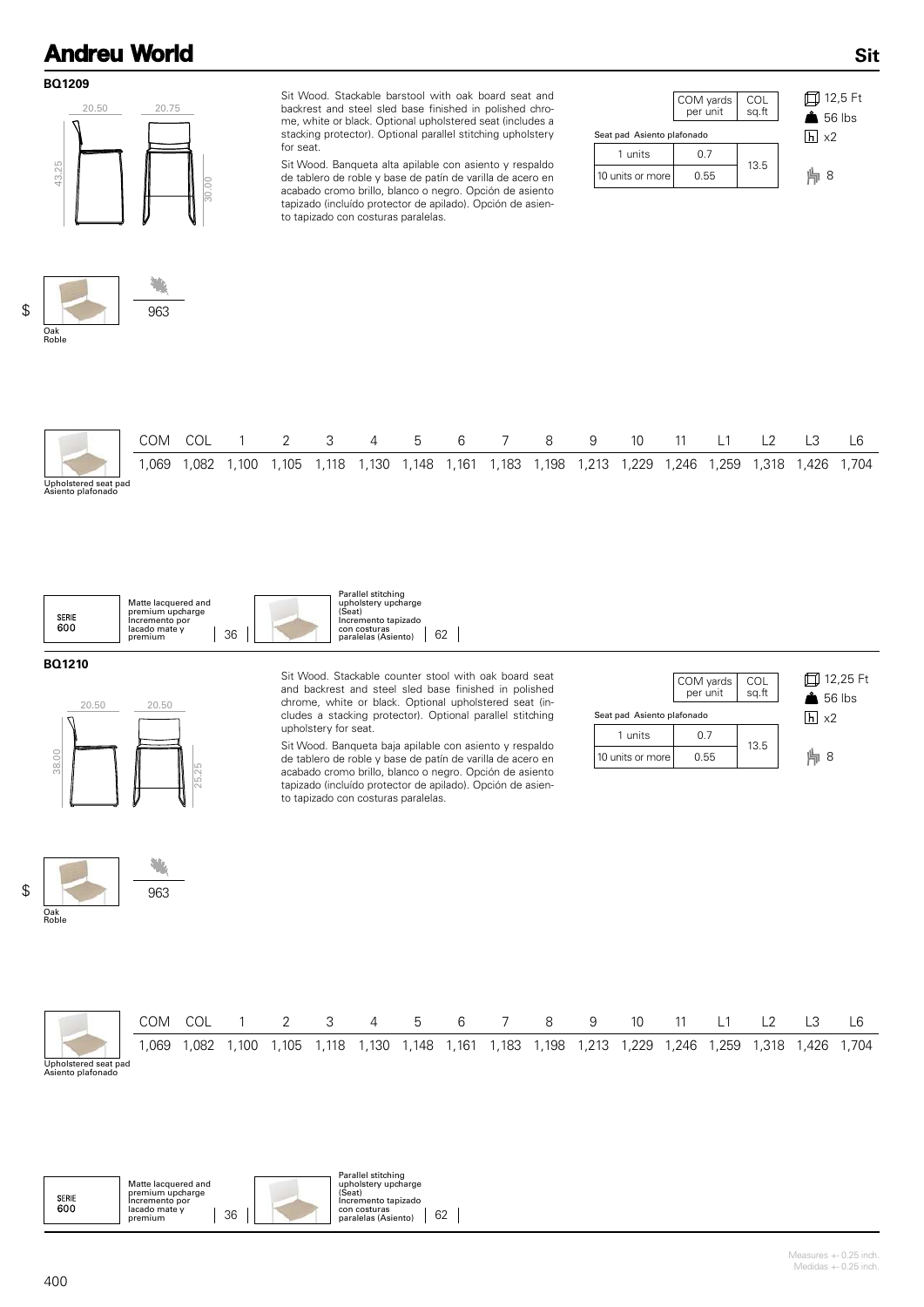#### **BQ1209**



Sit Wood. Stackable barstool with oak board seat and backrest and steel sled base finished in polished chrome, white or black. Optional upholstered seat (includes a stacking protector). Optional parallel stitching upholstery for seat.

Sit Wood. Banqueta alta apilable con asiento y respaldo de tablero de roble y base de patín de varilla de acero en acabado cromo brillo, blanco o negro. Opción de asiento tapizado (incluído protector de apilado). Opción de asiento tapizado con costuras paralelas.

| COM yards<br>per unit      | COL<br>sq.ft | 12,5<br>$\triangle$ 56 H |  |  |  |  |  |  |  |
|----------------------------|--------------|--------------------------|--|--|--|--|--|--|--|
| Seat pad Asiento plafonado |              |                          |  |  |  |  |  |  |  |
| 0.7                        |              |                          |  |  |  |  |  |  |  |
| 0.55                       |              | 8                        |  |  |  |  |  |  |  |
|                            |              | 13.5                     |  |  |  |  |  |  |  |

**Sit**



|                                           | COM  |      |       |       |       | 4     | 5     | 6     |       | 8      | -9      | -10   |       | <u>_</u> |       |       | -6    |
|-------------------------------------------|------|------|-------|-------|-------|-------|-------|-------|-------|--------|---------|-------|-------|----------|-------|-------|-------|
|                                           | .069 | .082 | l.100 | 1.105 | 1,118 | 1,130 | 1,148 | 1,161 | 1,183 | . 198، | 1,213 1 | 1,229 | 1,246 | .259     | 1,318 | 426,، | 1,704 |
| Upholstered seat pad<br>Asiento plafonado |      |      |       |       |       |       |       |       |       |        |         |       |       |          |       |       |       |



#### **BQ1210**



Sit Wood. Stackable counter stool with oak board seat and backrest and steel sled base finished in polished chrome, white or black. Optional upholstered seat (includes a stacking protector). Optional parallel stitching upholstery for seat.

Sit Wood. Banqueta baja apilable con asiento y respaldo de tablero de roble y base de patín de varilla de acero en acabado cromo brillo, blanco o negro. Opción de asiento tapizado (incluído protector de apilado). Opción de asiento tapizado con costuras paralelas.

|                            | COM yards<br>per unit | COL<br>sq.ft | 口 12,25 Ft<br>$\triangle$ 56 lbs |
|----------------------------|-----------------------|--------------|----------------------------------|
| Seat pad Asiento plafonado |                       | $h \mid x2$  |                                  |
| 1 units                    | 0.7                   | 13.5         |                                  |
| 10 units or more           | 0.55                  |              | 8                                |





|                                           | COM  |      |       | - 3 | $\overline{4}$ | $5\degree$ | 6 | 8 | -9 | 10 | -                                                                 | $\sqrt{2}$ | L3    | L6    |
|-------------------------------------------|------|------|-------|-----|----------------|------------|---|---|----|----|-------------------------------------------------------------------|------------|-------|-------|
|                                           | .069 | .082 | 1.100 |     |                |            |   |   |    |    | 1,105 1,118 1,130 1,148 1,161 1,183 1,198 1,213 1,229 1,246 1,259 | 1,318      | 1,426 | 1,704 |
| Upholstered seat pad<br>Asiento plafonado |      |      |       |     |                |            |   |   |    |    |                                                                   |            |       |       |

 $\overline{\phantom{a}}$ 

| Parallel stitching<br>upholstery upcharge<br>Matte lacquered and<br>(Seat)<br>premium upcharge<br><b>SERIE</b><br>Incremento tapizado<br>Incremento por<br>600<br>lacado mate v<br>con costuras<br>36<br>62<br>paralelas (Asiento)<br>premium |
|-----------------------------------------------------------------------------------------------------------------------------------------------------------------------------------------------------------------------------------------------|
|-----------------------------------------------------------------------------------------------------------------------------------------------------------------------------------------------------------------------------------------------|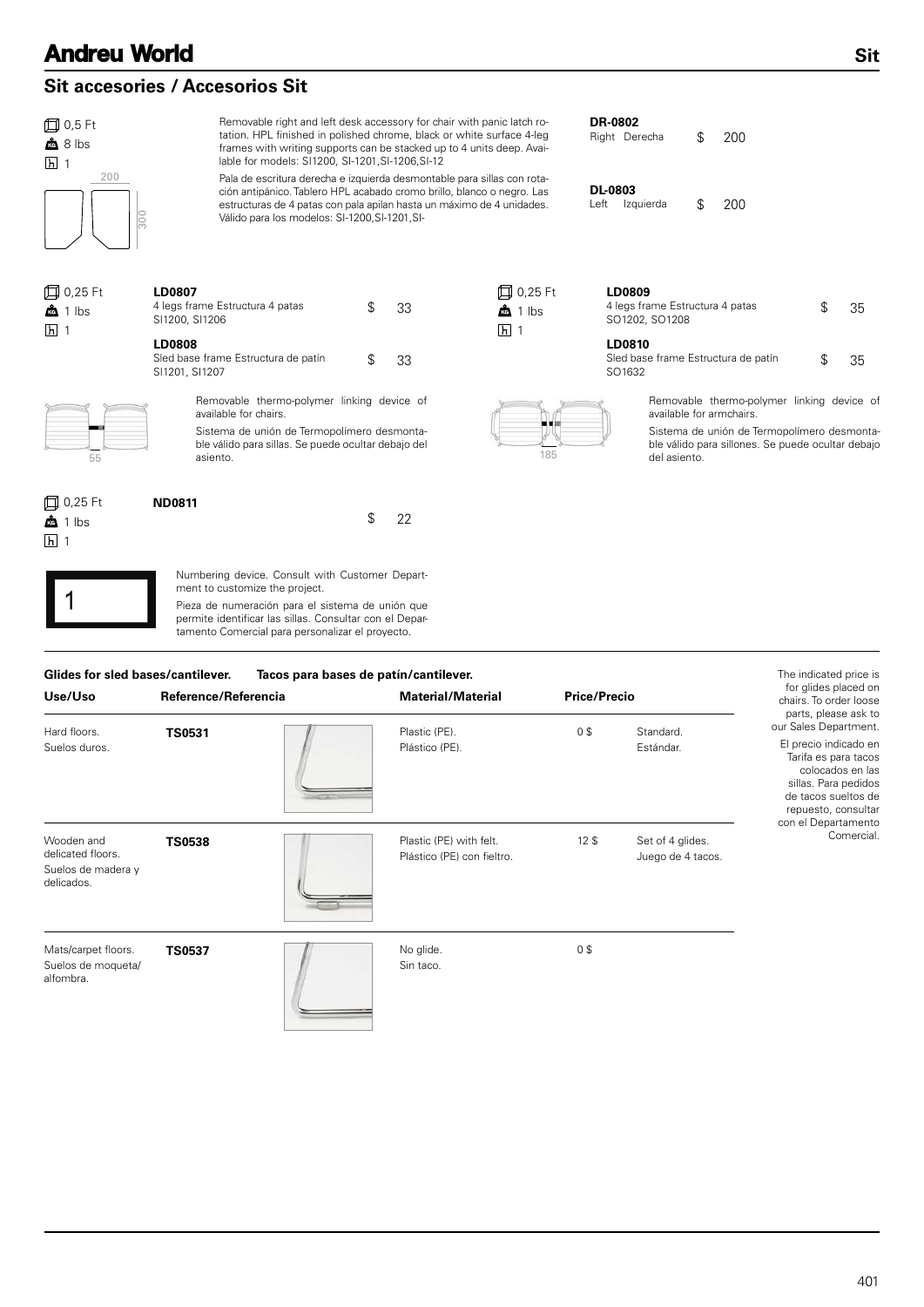### **Sit accesories / Accesorios Sit**

Removable right and left desk accessory for chair with panic latch ro-**DR-0802** 0,5 Ft tation. HPL finished in polished chrome, black or white surface 4-leg 200 \$ Right Derecha  $\frac{a}{2}$  8 lbs frames with writing supports can be stacked up to 4 units deep. Avai- $\overline{h}$  1 lable for models: SI1200, SI-1201,SI-1206,SI-12  $200$ Pala de escritura derecha e izquierda desmontable para sillas con rota-**DL-0803** ción antipánico. Tablero HPL acabado cromo brillo, blanco o negro. Las estructuras de 4 patas con pala apilan hasta un máximo de 4 unidades. 200 \$ Left Izquierda Válido para los modelos: SI-1200,SI-1201,SI-300 0,25 Ft **LD0807 LD0809** 0,25 Ft 4 legs frame Estructura 4 patas  $$33$ <br>SI1200, SI1206  $\frac{a}{100}$  1 lbs  $\frac{33}{1}$   $\frac{1}{2}$  bs  $\frac{4}{1}$  legs frame Estructura 4 patas  $\frac{5}{1}$  35  $\mathbf{\hat{a}}$  1 lbs SO1202, SO1208 **五**1 **h** 1 **LD0808 LD0810** Sled base frame Estructura de patín  $$33$ <br>Sl1201, Sl1207 SO1632 33 35 \$ \$ SI1201, SI1207 Removable thermo-polymer linking device of Removable thermo-polymer linking device of available for chairs. available for armchairs. Sistema de unión de Termopolímero desmonta-Sistema de unión de Termopolímero desmontable válido para sillas. Se puede ocultar debajo del ble válido para sillones. Se puede ocultar debajo  $\overline{55}$  asiento. asiento. del asiento. **□ 0,25 Ft ND0811** \$ 22  $\frac{a}{100}$  1 lbs  $\overline{h}$ 1 Numbering device. Consult with Customer Department to customize the project. Pieza de numeración para el sistema de unión que permite identificar las sillas. Consultar con el Departamento Comercial para personalizar el proyecto.

|                                                                     | Glides for sled bases/cantilever.<br>Tacos para bases de patín/cantilever. |  |                                                       |                     |                                       |                                                                                                                                                                                         |  |  |  |
|---------------------------------------------------------------------|----------------------------------------------------------------------------|--|-------------------------------------------------------|---------------------|---------------------------------------|-----------------------------------------------------------------------------------------------------------------------------------------------------------------------------------------|--|--|--|
| Use/Uso                                                             | Reference/Referencia                                                       |  | <b>Material/Material</b>                              | <b>Price/Precio</b> |                                       | for glides placed on<br>chairs. To order loose<br>parts, please ask to                                                                                                                  |  |  |  |
| Hard floors.<br>Suelos duros.                                       | <b>TS0531</b>                                                              |  | Plastic (PE).<br>Plástico (PE).                       | 0 <sup>3</sup>      | Standard.<br>Estándar.                | our Sales Department.<br>El precio indicado en<br>Tarifa es para tacos<br>colocados en las<br>sillas. Para pedidos<br>de tacos sueltos de<br>repuesto, consultar<br>con el Departamento |  |  |  |
| Wooden and<br>delicated floors.<br>Suelos de madera y<br>delicados. | <b>TS0538</b>                                                              |  | Plastic (PE) with felt.<br>Plástico (PE) con fieltro. | 12 <sup>5</sup>     | Set of 4 glides.<br>Juego de 4 tacos. | Comercial.                                                                                                                                                                              |  |  |  |
| Mats/carpet floors.<br>Suelos de moqueta/<br>alfombra.              | <b>TS0537</b>                                                              |  | No glide.<br>Sin taco.                                | 0 <sup>3</sup>      |                                       |                                                                                                                                                                                         |  |  |  |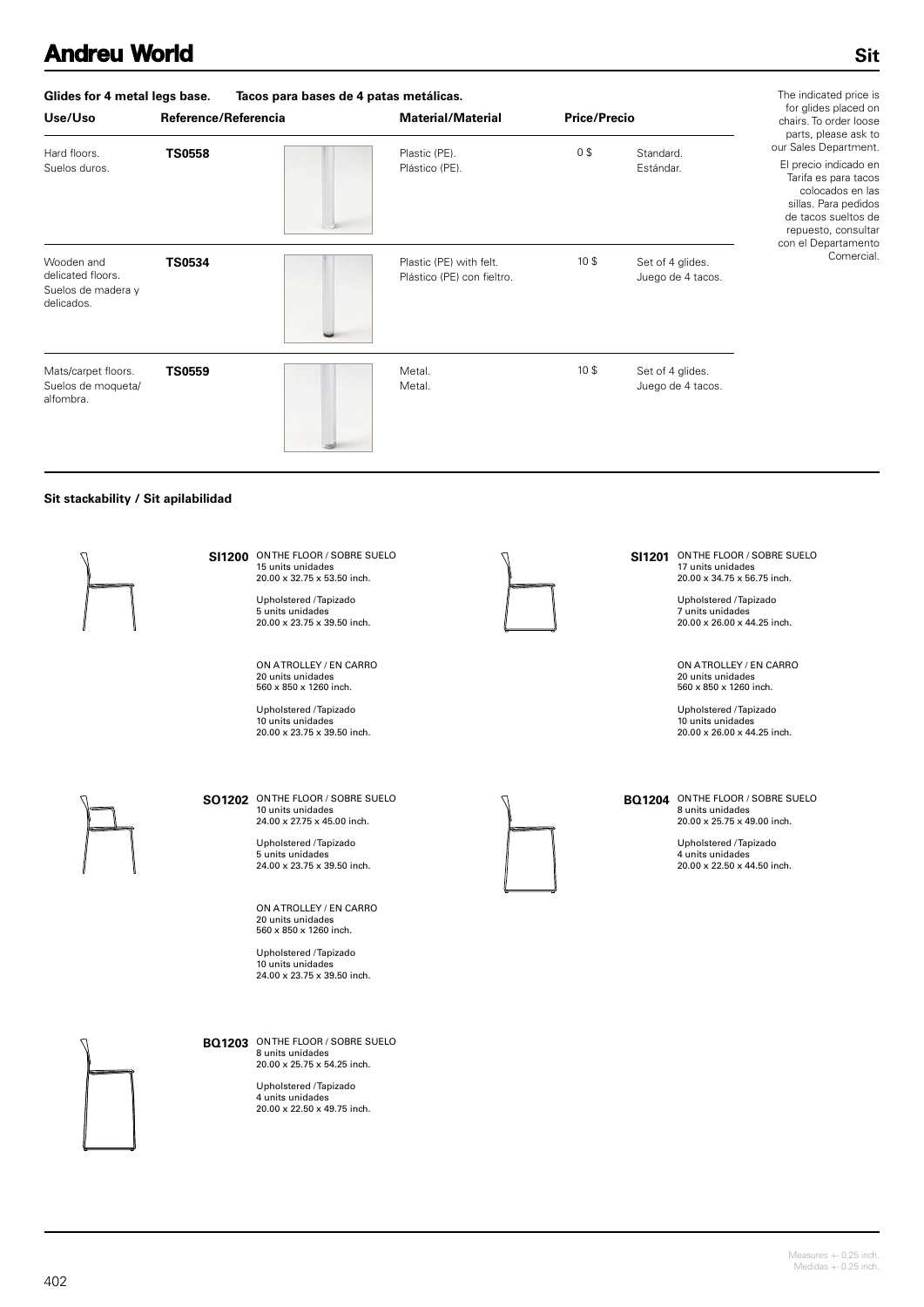| Glides for 4 metal legs base.                                       |                      | The indicated price is                                |                     |                                       |                                                                                                                                                                                                                 |
|---------------------------------------------------------------------|----------------------|-------------------------------------------------------|---------------------|---------------------------------------|-----------------------------------------------------------------------------------------------------------------------------------------------------------------------------------------------------------------|
| Use/Uso                                                             | Reference/Referencia | <b>Material/Material</b>                              | <b>Price/Precio</b> |                                       | for glides placed on<br>chairs. To order loose                                                                                                                                                                  |
| Hard floors.<br>Suelos duros.                                       | <b>TS0558</b>        | Plastic (PE).<br>Plástico (PE).                       | 0 <sup>3</sup>      | Standard.<br>Estándar.                | parts, please ask to<br>our Sales Department.<br>El precio indicado en<br>Tarifa es para tacos<br>colocados en las<br>sillas. Para pedidos<br>de tacos sueltos de<br>repuesto, consultar<br>con el Departamento |
| Wooden and<br>delicated floors.<br>Suelos de madera y<br>delicados. | <b>TS0534</b>        | Plastic (PE) with felt.<br>Plástico (PE) con fieltro. | 10 <sup>5</sup>     | Set of 4 glides.<br>Juego de 4 tacos. | Comercial.                                                                                                                                                                                                      |
| Mats/carpet floors.<br>Suelos de moqueta/<br>alfombra.              | <b>TS0559</b>        | Metal.<br>Metal.                                      | 10 <sup>5</sup>     | Set of 4 glides.<br>Juego de 4 tacos. |                                                                                                                                                                                                                 |

### **Sit stackability / Sit apilabilidad**



**SI1200** ON THE FLOOR / SOBRE SUELO 15 units unidades 20.00 x 32.75 x 53.50 inch.

Upholstered / Tapizado 5 units unidades 20.00 x 23.75 x 39.50 inch.

ON A TROLLEY / EN CARRO 20 units unidades 560 x 850 x 1260 inch.

Upholstered / Tapizado 10 units unidades 20.00 x 23.75 x 39.50 inch.



**SO1202** ON THE FLOOR / SOBRE SUELO 10 units unidades 24.00 x 27.75 x 45.00 inch.

> Upholstered / Tapizado 5 units unidades 24.00 x 23.75 x 39.50 inch.

ON A TROLLEY / EN CARRO 20 units unidades 560 x 850 x 1260 inch.

Upholstered / Tapizado 10 units unidades 24.00 x 23.75 x 39.50 inch.

**BQ1203** ON THE FLOOR / SOBRE SUELO 8 units unidades 20.00 x 25.75 x 54.25 inch.

> Upholstered / Tapizado 4 units unidades 20.00 x 22.50 x 49.75 inch.



**SI1201** ON THE FLOOR / SOBRE SUELO 17 units unidades 20.00 x 34.75 x 56.75 inch.

> Upholstered / Tapizado 7 units unidades 20.00 x 26.00 x 44.25 inch.

ON A TROLLEY / EN CARRO 20 units unidades 560 x 850 x 1260 inch.

Upholstered / Tapizado 10 units unidades 20.00 x 26.00 x 44.25 inch.

### **BQ1204** ON THE FLOOR / SOBRE SUELO 8 units unidades 20.00 x 25.75 x 49.00 inch.

Upholstered / Tapizado 4 units unidades 20.00 x 22.50 x 44.50 inch.